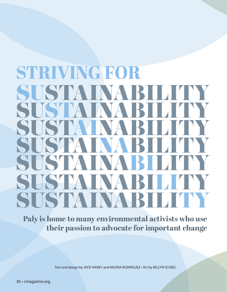## **JUSTAINABIL** SUSTAINABILITY SUSTAINABILITY SUSTAINABILITY SUST SISTA SUSTAINARILIT **STRIVING FOR**

**Paly is home to many environmental activists who use their passion to advocate for important change**

Text and design by JACK HANEY and MILENA RODRIGUEZ • Art by KELLYN SCHEEL